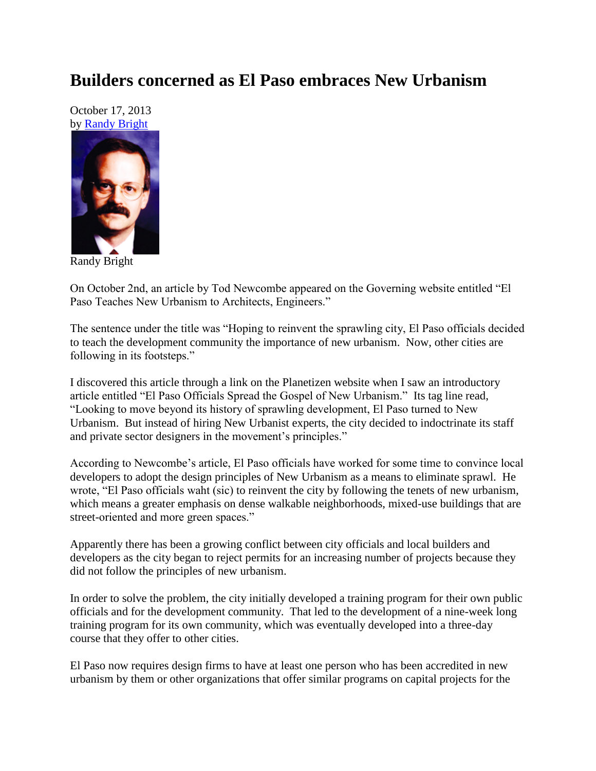## **Builders concerned as El Paso embraces New Urbanism**

October 17, 2013 by [Randy Bright](http://tulsabeacon.com/writers/randy-bright/)



Randy Bright

On October 2nd, an article by Tod Newcombe appeared on the Governing website entitled "El Paso Teaches New Urbanism to Architects, Engineers."

The sentence under the title was "Hoping to reinvent the sprawling city, El Paso officials decided to teach the development community the importance of new urbanism. Now, other cities are following in its footsteps."

I discovered this article through a link on the Planetizen website when I saw an introductory article entitled "El Paso Officials Spread the Gospel of New Urbanism." Its tag line read, "Looking to move beyond its history of sprawling development, El Paso turned to New Urbanism. But instead of hiring New Urbanist experts, the city decided to indoctrinate its staff and private sector designers in the movement's principles."

According to Newcombe's article, El Paso officials have worked for some time to convince local developers to adopt the design principles of New Urbanism as a means to eliminate sprawl. He wrote, "El Paso officials waht (sic) to reinvent the city by following the tenets of new urbanism, which means a greater emphasis on dense walkable neighborhoods, mixed-use buildings that are street-oriented and more green spaces."

Apparently there has been a growing conflict between city officials and local builders and developers as the city began to reject permits for an increasing number of projects because they did not follow the principles of new urbanism.

In order to solve the problem, the city initially developed a training program for their own public officials and for the development community. That led to the development of a nine-week long training program for its own community, which was eventually developed into a three-day course that they offer to other cities.

El Paso now requires design firms to have at least one person who has been accredited in new urbanism by them or other organizations that offer similar programs on capital projects for the